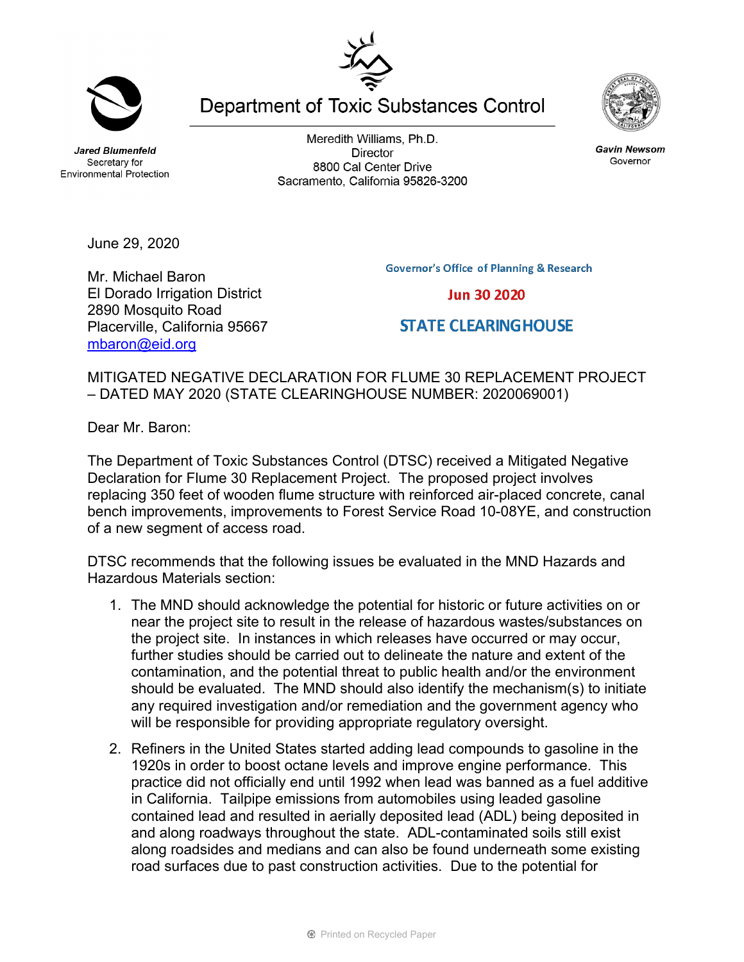**Jared Blumenfeld** Secretary for **Environmental Protection** 

Meredith Williams, Ph.D. **Director** 8800 Cal Center Drive Sacramento, California 95826-3200

**Governor's Office of Planning & Research** 

**Jun 30 2020** 

**STATE CLEARINGHOUSE** 

Governor

June 29, 2020

Mr. Michael Baron El Dorado Irrigation District 2890 Mosquito Road Placerville, California 95667 [mbaron@eid.org](mailto:mbaron@eid.org)

MITIGATED NEGATIVE DECLARATION FOR FLUME 30 REPLACEMENT PROJECT – DATED MAY 2020 (STATE CLEARINGHOUSE NUMBER: 2020069001)

Dear Mr. Baron:

The Department of Toxic Substances Control (DTSC) received a Mitigated Negative Declaration for Flume 30 Replacement Project. The proposed project involves replacing 350 feet of wooden flume structure with reinforced air-placed concrete, canal bench improvements, improvements to Forest Service Road 10-08YE, and construction of a new segment of access road.

DTSC recommends that the following issues be evaluated in the MND Hazards and Hazardous Materials section:

- 1. The MND should acknowledge the potential for historic or future activities on or near the project site to result in the release of hazardous wastes/substances on the project site. In instances in which releases have occurred or may occur, further studies should be carried out to delineate the nature and extent of the contamination, and the potential threat to public health and/or the environment should be evaluated. The MND should also identify the mechanism(s) to initiate any required investigation and/or remediation and the government agency who will be responsible for providing appropriate regulatory oversight.
- 2. Refiners in the United States started adding lead compounds to gasoline in the 1920s in order to boost octane levels and improve engine performance. This practice did not officially end until 1992 when lead was banned as a fuel additive in California. Tailpipe emissions from automobiles using leaded gasoline contained lead and resulted in aerially deposited lead (ADL) being deposited in and along roadways throughout the state. ADL-contaminated soils still exist along roadsides and medians and can also be found underneath some existing road surfaces due to past construction activities. Due to the potential for





**Gavin Newsom** 

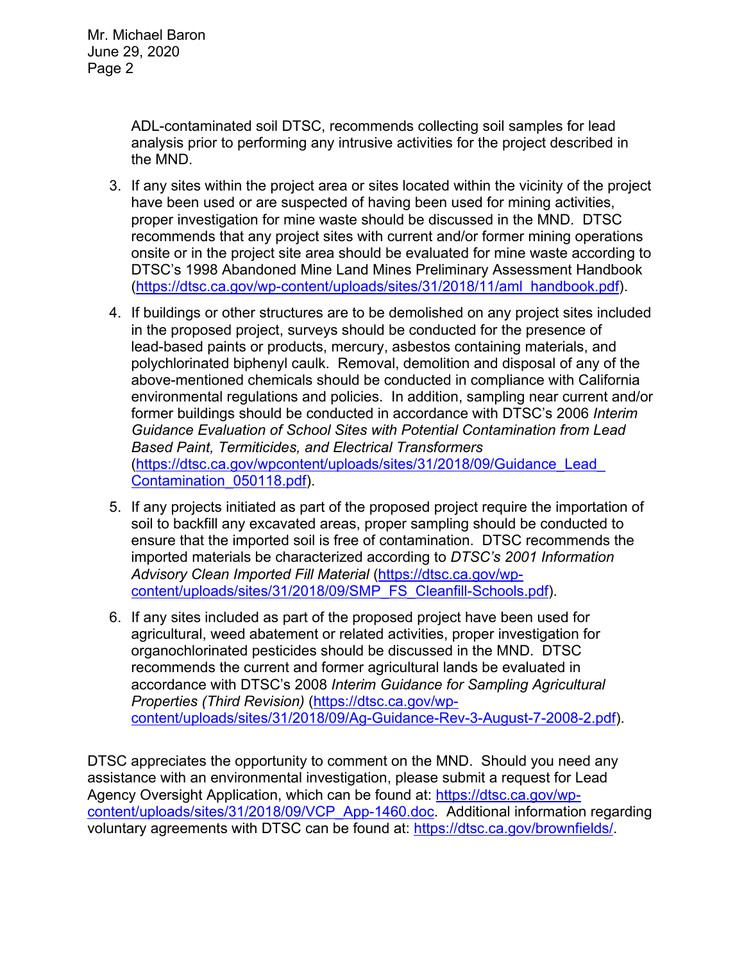ADL-contaminated soil DTSC, recommends collecting soil samples for lead analysis prior to performing any intrusive activities for the project described in the MND.

- 3. If any sites within the project area or sites located within the vicinity of the project have been used or are suspected of having been used for mining activities, proper investigation for mine waste should be discussed in the MND. DTSC recommends that any project sites with current and/or former mining operations onsite or in the project site area should be evaluated for mine waste according to DTSC's 1998 Abandoned Mine Land Mines Preliminary Assessment Handbook [\(https://dtsc.ca.gov/wp-content/uploads/sites/31/2018/11/aml\\_handbook.pdf\)](https://dtsc.ca.gov/wp-content/uploads/sites/31/2018/11/aml_handbook.pdf).
- 4. If buildings or other structures are to be demolished on any project sites included in the proposed project, surveys should be conducted for the presence of lead-based paints or products, mercury, asbestos containing materials, and polychlorinated biphenyl caulk. Removal, demolition and disposal of any of the above-mentioned chemicals should be conducted in compliance with California environmental regulations and policies. In addition, sampling near current and/or former buildings should be conducted in accordance with DTSC's 2006 *Interim Guidance Evaluation of School Sites with Potential Contamination from Lead Based Paint, Termiticides, and Electrical Transformers* [\(https://dtsc.ca.gov/wpcontent/uploads/sites/31/2018/09/Guidance\\_Lead\\_](https://gcc02.safelinks.protection.outlook.com/?url=https%3A%2F%2Fdtsc.ca.gov%2Fwp-content%2Fuploads%2Fsites%2F31%2F2018%2F09%2FGuidance_Lead_Contamination_050118.pdf&data=02%7C01%7C%7C5d5d271a38734f176ff008d74b61ecfd%7C3f4ffbf4c7604c2abab8c63ef4bd2439%7C0%7C0%7C637060756261296590&sdata=1JGWitJI6nMkU%2FVDzi0GYiam5nl8DLJhkRmLCticfdA%3D&reserved=0)  [Contamination\\_050118.pdf\)](https://gcc02.safelinks.protection.outlook.com/?url=https%3A%2F%2Fdtsc.ca.gov%2Fwp-content%2Fuploads%2Fsites%2F31%2F2018%2F09%2FGuidance_Lead_Contamination_050118.pdf&data=02%7C01%7C%7C5d5d271a38734f176ff008d74b61ecfd%7C3f4ffbf4c7604c2abab8c63ef4bd2439%7C0%7C0%7C637060756261296590&sdata=1JGWitJI6nMkU%2FVDzi0GYiam5nl8DLJhkRmLCticfdA%3D&reserved=0).
- 5. If any projects initiated as part of the proposed project require the importation of soil to backfill any excavated areas, proper sampling should be conducted to ensure that the imported soil is free of contamination. DTSC recommends the imported materials be characterized according to *DTSC's 2001 Information Advisory Clean Imported Fill Material* [\(https://dtsc.ca.gov/wp](https://dtsc.ca.gov/wp-content/uploads/sites/31/2018/09/SMP_FS_Cleanfill-Schools.pdf)[content/uploads/sites/31/2018/09/SMP\\_FS\\_Cleanfill-Schools.pdf\)](https://dtsc.ca.gov/wp-content/uploads/sites/31/2018/09/SMP_FS_Cleanfill-Schools.pdf).
- 6. If any sites included as part of the proposed project have been used for agricultural, weed abatement or related activities, proper investigation for organochlorinated pesticides should be discussed in the MND. DTSC recommends the current and former agricultural lands be evaluated in accordance with DTSC's 2008 *Interim Guidance for Sampling Agricultural Properties (Third Revision)* [\(https://dtsc.ca.gov/wp](https://dtsc.ca.gov/wp-content/uploads/sites/31/2018/09/Ag-Guidance-Rev-3-August-7-2008-2.pdf)[content/uploads/sites/31/2018/09/Ag-Guidance-Rev-3-August-7-2008-2.pdf\)](https://dtsc.ca.gov/wp-content/uploads/sites/31/2018/09/Ag-Guidance-Rev-3-August-7-2008-2.pdf).

DTSC appreciates the opportunity to comment on the MND. Should you need any assistance with an environmental investigation, please submit a request for Lead Agency Oversight Application, which can be found at: [https://dtsc.ca.gov/wp](https://dtsc.ca.gov/wp-content/uploads/sites/31/2018/09/VCP_App-1460.doc)[content/uploads/sites/31/2018/09/VCP\\_App-1460.doc.](https://dtsc.ca.gov/wp-content/uploads/sites/31/2018/09/VCP_App-1460.doc) Additional information regarding voluntary agreements with DTSC can be found at: [https://dtsc.ca.gov/brownfields/.](https://dtsc.ca.gov/brownfields/)